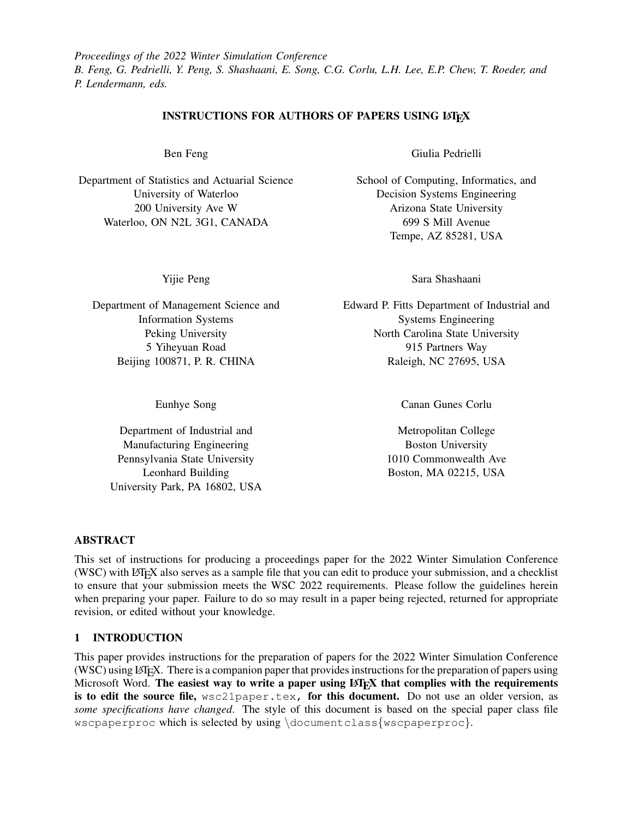*Proceedings of the 2022 Winter Simulation Conference B. Feng, G. Pedrielli, Y. Peng, S. Shashaani, E. Song, C.G. Corlu, L.H. Lee, E.P. Chew, T. Roeder, and P. Lendermann, eds.*

### INSTRUCTIONS FOR AUTHORS OF PAPERS USING LATEX

Ben Feng

Department of Statistics and Actuarial Science University of Waterloo 200 University Ave W Waterloo, ON N2L 3G1, CANADA

Yijie Peng

Department of Management Science and Information Systems Peking University 5 Yiheyuan Road Beijing 100871, P. R. CHINA

Eunhye Song

Department of Industrial and Manufacturing Engineering Pennsylvania State University Leonhard Building University Park, PA 16802, USA Giulia Pedrielli

School of Computing, Informatics, and Decision Systems Engineering Arizona State University 699 S Mill Avenue Tempe, AZ 85281, USA

Sara Shashaani

Edward P. Fitts Department of Industrial and Systems Engineering North Carolina State University 915 Partners Way Raleigh, NC 27695, USA

Canan Gunes Corlu

Metropolitan College Boston University 1010 Commonwealth Ave Boston, MA 02215, USA

## ABSTRACT

This set of instructions for producing a proceedings paper for the 2022 Winter Simulation Conference (WSC) with LATEX also serves as a sample file that you can edit to produce your submission, and a checklist to ensure that your submission meets the WSC 2022 requirements. Please follow the guidelines herein when preparing your paper. Failure to do so may result in a paper being rejected, returned for appropriate revision, or edited without your knowledge.

#### 1 INTRODUCTION

This paper provides instructions for the preparation of papers for the 2022 Winter Simulation Conference (WSC) using LATEX. There is a companion paper that provides instructions for the preparation of papers using Microsoft Word. The easiest way to write a paper using  $\mathbb{F} \mathbb{F} \mathbb{F} \mathbb{F}$  that complies with the requirements is to edit the source file, wsc21paper.tex, for this document. Do not use an older version, as *some specifications have changed*. The style of this document is based on the special paper class file wscpaperproc which is selected by using \documentclass{wscpaperproc}.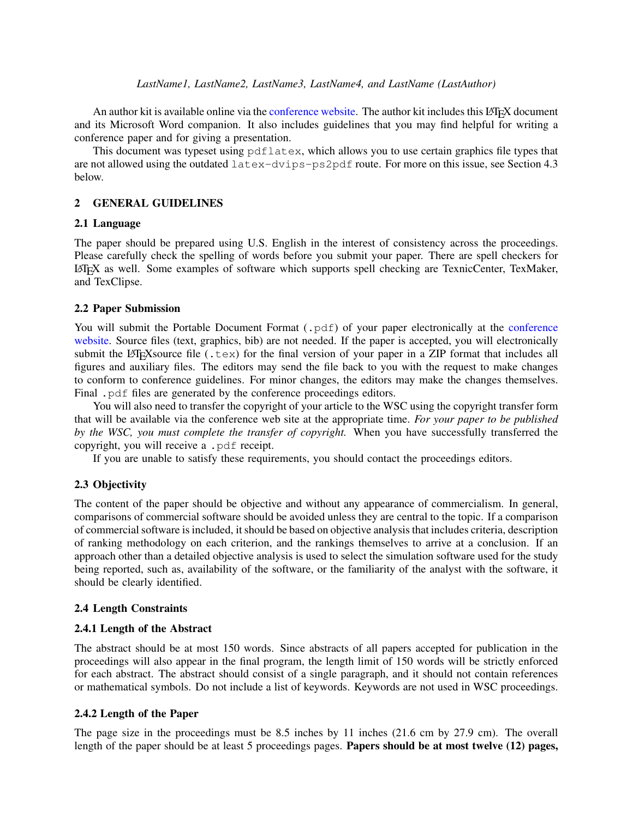### *LastName1, LastName2, LastName3, LastName4, and LastName (LastAuthor)*

An author kit is available online via the [conference website.](http://www.wintersim.org) The author kit includes this LATEX document and its Microsoft Word companion. It also includes guidelines that you may find helpful for writing a conference paper and for giving a presentation.

This document was typeset using pdflatex, which allows you to use certain graphics file types that are not allowed using the outdated latex-dvips-ps2pdf route. For more on this issue, see Section [4.3](#page-4-0) below.

### 2 GENERAL GUIDELINES

### 2.1 Language

The paper should be prepared using U.S. English in the interest of consistency across the proceedings. Please carefully check the spelling of words before you submit your paper. There are spell checkers for LATEX as well. Some examples of software which supports spell checking are TexnicCenter, TexMaker, and TexClipse.

### 2.2 Paper Submission

You will submit the Portable Document Format (. pdf) of your paper electronically at the [conference](http://www.wintersim.org) [website.](http://www.wintersim.org) Source files (text, graphics, bib) are not needed. If the paper is accepted, you will electronically submit the LATEX source file (.tex) for the final version of your paper in a ZIP format that includes all figures and auxiliary files. The editors may send the file back to you with the request to make changes to conform to conference guidelines. For minor changes, the editors may make the changes themselves. Final .pdf files are generated by the conference proceedings editors.

You will also need to transfer the copyright of your article to the WSC using the copyright transfer form that will be available via the conference web site at the appropriate time. *For your paper to be published by the WSC, you must complete the transfer of copyright.* When you have successfully transferred the copyright, you will receive a .pdf receipt.

If you are unable to satisfy these requirements, you should contact the proceedings editors.

### 2.3 Objectivity

The content of the paper should be objective and without any appearance of commercialism. In general, comparisons of commercial software should be avoided unless they are central to the topic. If a comparison of commercial software is included, it should be based on objective analysis that includes criteria, description of ranking methodology on each criterion, and the rankings themselves to arrive at a conclusion. If an approach other than a detailed objective analysis is used to select the simulation software used for the study being reported, such as, availability of the software, or the familiarity of the analyst with the software, it should be clearly identified.

### 2.4 Length Constraints

#### 2.4.1 Length of the Abstract

The abstract should be at most 150 words. Since abstracts of all papers accepted for publication in the proceedings will also appear in the final program, the length limit of 150 words will be strictly enforced for each abstract. The abstract should consist of a single paragraph, and it should not contain references or mathematical symbols. Do not include a list of keywords. Keywords are not used in WSC proceedings.

#### 2.4.2 Length of the Paper

The page size in the proceedings must be  $8.5$  inches by 11 inches (21.6 cm by 27.9 cm). The overall length of the paper should be at least 5 proceedings pages. Papers should be at most twelve (12) pages,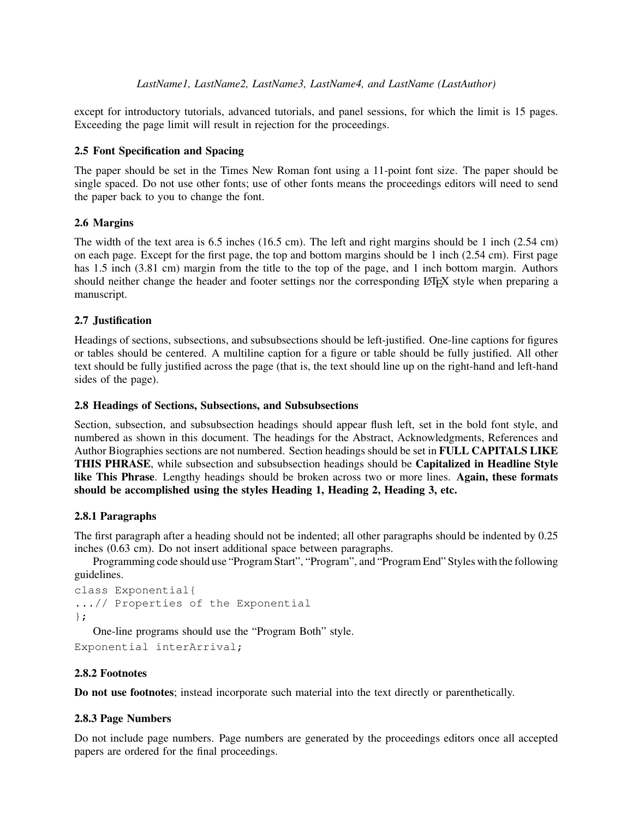except for introductory tutorials, advanced tutorials, and panel sessions, for which the limit is 15 pages. Exceeding the page limit will result in rejection for the proceedings.

# 2.5 Font Specification and Spacing

The paper should be set in the Times New Roman font using a 11-point font size. The paper should be single spaced. Do not use other fonts; use of other fonts means the proceedings editors will need to send the paper back to you to change the font.

# <span id="page-2-0"></span>2.6 Margins

The width of the text area is 6.5 inches (16.5 cm). The left and right margins should be 1 inch (2.54 cm) on each page. Except for the first page, the top and bottom margins should be 1 inch (2.54 cm). First page has 1.5 inch (3.81 cm) margin from the title to the top of the page, and 1 inch bottom margin. Authors should neither change the header and footer settings nor the corresponding LATEX style when preparing a manuscript.

# 2.7 Justification

Headings of sections, subsections, and subsubsections should be left-justified. One-line captions for figures or tables should be centered. A multiline caption for a figure or table should be fully justified. All other text should be fully justified across the page (that is, the text should line up on the right-hand and left-hand sides of the page).

# 2.8 Headings of Sections, Subsections, and Subsubsections

Section, subsection, and subsubsection headings should appear flush left, set in the bold font style, and numbered as shown in this document. The headings for the Abstract, Acknowledgments, References and Author Biographies sections are not numbered. Section headings should be set in FULL CAPITALS LIKE THIS PHRASE, while subsection and subsubsection headings should be Capitalized in Headline Style like This Phrase. Lengthy headings should be broken across two or more lines. Again, these formats should be accomplished using the styles Heading 1, Heading 2, Heading 3, etc.

# 2.8.1 Paragraphs

The first paragraph after a heading should not be indented; all other paragraphs should be indented by 0.25 inches (0.63 cm). Do not insert additional space between paragraphs.

Programming code should use "Program Start", "Program", and "Program End" Styles with the following guidelines.

```
class Exponential{
...// Properties of the Exponential
};
```
One-line programs should use the "Program Both" style.

```
Exponential interArrival;
```
# 2.8.2 Footnotes

Do not use footnotes; instead incorporate such material into the text directly or parenthetically.

# 2.8.3 Page Numbers

Do not include page numbers. Page numbers are generated by the proceedings editors once all accepted papers are ordered for the final proceedings.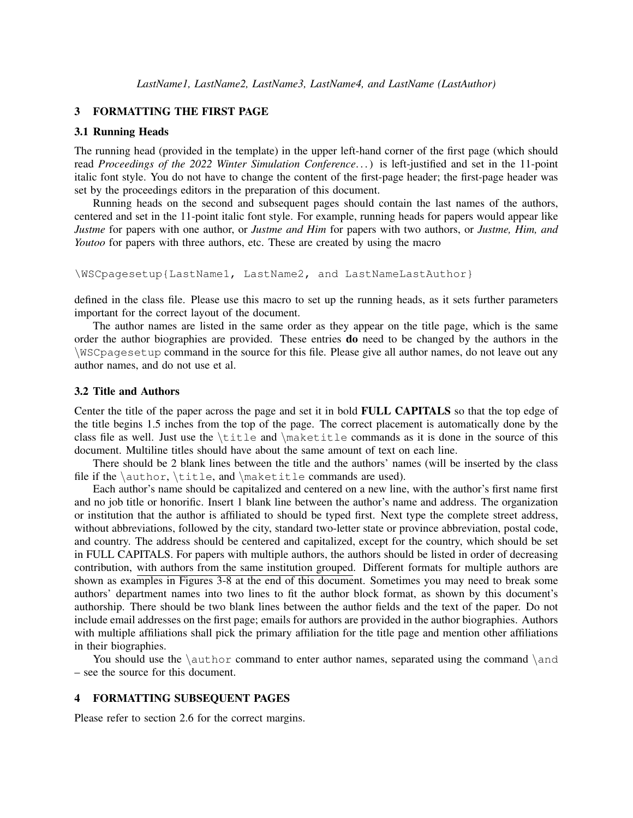#### 3 FORMATTING THE FIRST PAGE

### 3.1 Running Heads

The running head (provided in the template) in the upper left-hand corner of the first page (which should read *Proceedings of the 2022 Winter Simulation Conference*. . . ) is left-justified and set in the 11-point italic font style. You do not have to change the content of the first-page header; the first-page header was set by the proceedings editors in the preparation of this document.

Running heads on the second and subsequent pages should contain the last names of the authors, centered and set in the 11-point italic font style. For example, running heads for papers would appear like *Justme* for papers with one author, or *Justme and Him* for papers with two authors, or *Justme, Him, and Youtoo* for papers with three authors, etc. These are created by using the macro

```
\WSCpagesetup{LastName1, LastName2, and LastNameLastAuthor}
```
defined in the class file. Please use this macro to set up the running heads, as it sets further parameters important for the correct layout of the document.

The author names are listed in the same order as they appear on the title page, which is the same order the author biographies are provided. These entries do need to be changed by the authors in the \WSCpagesetup command in the source for this file. Please give all author names, do not leave out any author names, and do not use et al.

### 3.2 Title and Authors

Center the title of the paper across the page and set it in bold FULL CAPITALS so that the top edge of the title begins 1.5 inches from the top of the page. The correct placement is automatically done by the class file as well. Just use the \title and \maketitle commands as it is done in the source of this document. Multiline titles should have about the same amount of text on each line.

There should be 2 blank lines between the title and the authors' names (will be inserted by the class file if the \author, \title, and \maketitle commands are used).

Each author's name should be capitalized and centered on a new line, with the author's first name first and no job title or honorific. Insert 1 blank line between the author's name and address. The organization or institution that the author is affiliated to should be typed first. Next type the complete street address, without abbreviations, followed by the city, standard two-letter state or province abbreviation, postal code, and country. The address should be centered and capitalized, except for the country, which should be set in FULL CAPITALS. For papers with multiple authors, the authors should be listed in order of decreasing contribution, with authors from the same institution grouped. Different formats for multiple authors are shown as examples in Figures [3-](#page-16-0)[8](#page-19-0) at the end of this document. Sometimes you may need to break some authors' department names into two lines to fit the author block format, as shown by this document's authorship. There should be two blank lines between the author fields and the text of the paper. Do not include email addresses on the first page; emails for authors are provided in the author biographies. Authors with multiple affiliations shall pick the primary affiliation for the title page and mention other affiliations in their biographies.

You should use the  $\aut{or} command$  to enter author names, separated using the command  $\and$ – see the source for this document.

### 4 FORMATTING SUBSEQUENT PAGES

Please refer to section [2.6](#page-2-0) for the correct margins.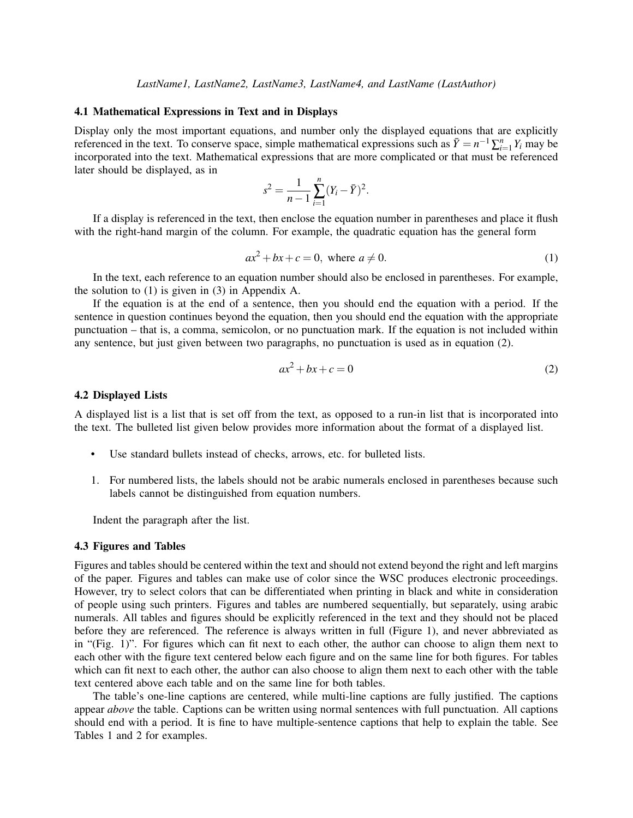#### 4.1 Mathematical Expressions in Text and in Displays

Display only the most important equations, and number only the displayed equations that are explicitly referenced in the text. To conserve space, simple mathematical expressions such as  $\bar{Y} = n^{-1} \sum_{i=1}^{n} Y_i$  may be incorporated into the text. Mathematical expressions that are more complicated or that must be referenced later should be displayed, as in

$$
s^{2} = \frac{1}{n-1} \sum_{i=1}^{n} (Y_{i} - \bar{Y})^{2}.
$$

If a display is referenced in the text, then enclose the equation number in parentheses and place it flush with the right-hand margin of the column. For example, the quadratic equation has the general form

<span id="page-4-1"></span>
$$
ax2 + bx + c = 0, \text{ where } a \neq 0.
$$
 (1)

In the text, each reference to an equation number should also be enclosed in parentheses. For example, the solution to [\(1\)](#page-4-1) is given in [\(3\)](#page-12-0) in Appendix [A.](#page-12-1)

If the equation is at the end of a sentence, then you should end the equation with a period. If the sentence in question continues beyond the equation, then you should end the equation with the appropriate punctuation – that is, a comma, semicolon, or no punctuation mark. If the equation is not included within any sentence, but just given between two paragraphs, no punctuation is used as in equation [\(2\)](#page-4-2).

<span id="page-4-2"></span>
$$
ax^2 + bx + c = 0 \tag{2}
$$

#### 4.2 Displayed Lists

A displayed list is a list that is set off from the text, as opposed to a run-in list that is incorporated into the text. The bulleted list given below provides more information about the format of a displayed list.

- Use standard bullets instead of checks, arrows, etc. for bulleted lists.
- 1. For numbered lists, the labels should not be arabic numerals enclosed in parentheses because such labels cannot be distinguished from equation numbers.

Indent the paragraph after the list.

#### <span id="page-4-0"></span>4.3 Figures and Tables

Figures and tables should be centered within the text and should not extend beyond the right and left margins of the paper. Figures and tables can make use of color since the WSC produces electronic proceedings. However, try to select colors that can be differentiated when printing in black and white in consideration of people using such printers. Figures and tables are numbered sequentially, but separately, using arabic numerals. All tables and figures should be explicitly referenced in the text and they should not be placed before they are referenced. The reference is always written in full (Figure 1), and never abbreviated as in "(Fig. 1)". For figures which can fit next to each other, the author can choose to align them next to each other with the figure text centered below each figure and on the same line for both figures. For tables which can fit next to each other, the author can also choose to align them next to each other with the table text centered above each table and on the same line for both tables.

The table's one-line captions are centered, while multi-line captions are fully justified. The captions appear *above* the table. Captions can be written using normal sentences with full punctuation. All captions should end with a period. It is fine to have multiple-sentence captions that help to explain the table. See Tables [1](#page-5-0) and [2](#page-5-1) for examples.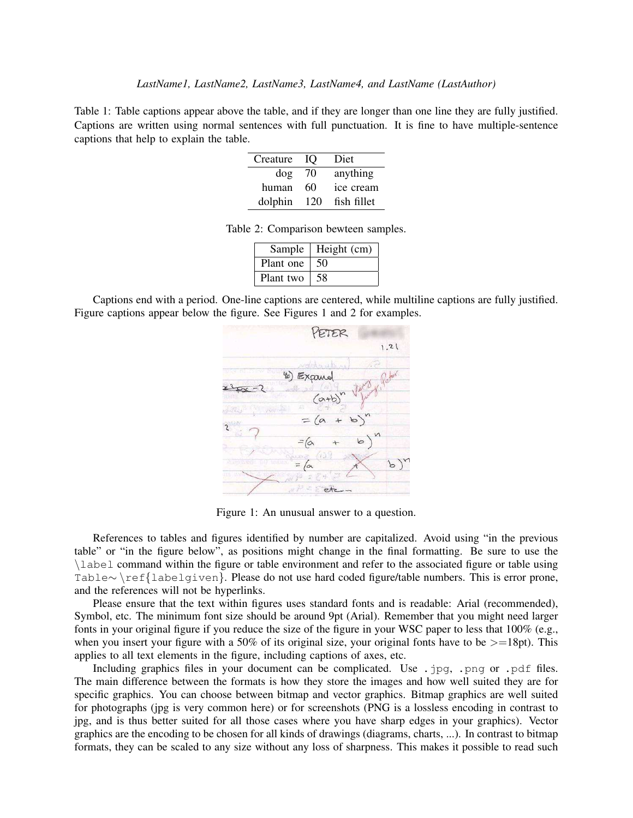<span id="page-5-0"></span>Table 1: Table captions appear above the table, and if they are longer than one line they are fully justified. Captions are written using normal sentences with full punctuation. It is fine to have multiple-sentence captions that help to explain the table.

| Creature | IO  | Diet        |
|----------|-----|-------------|
| dog      | 70  | anything    |
| human    | 60  | ice cream   |
| dolphin  | 120 | fish fillet |

Table 2: Comparison bewteen samples.

<span id="page-5-1"></span>

| Sample    | Height (cm) |
|-----------|-------------|
| Plant one | 50          |
| Plant two | 58          |

Captions end with a period. One-line captions are centered, while multiline captions are fully justified. Figure captions appear below the figure. See Figures [1](#page-5-2) and [2](#page-6-0) for examples.



<span id="page-5-2"></span>Figure 1: An unusual answer to a question.

References to tables and figures identified by number are capitalized. Avoid using "in the previous table" or "in the figure below", as positions might change in the final formatting. Be sure to use the \label command within the figure or table environment and refer to the associated figure or table using Table∼ \ref{labelgiven}. Please do not use hard coded figure/table numbers. This is error prone, and the references will not be hyperlinks.

Please ensure that the text within figures uses standard fonts and is readable: Arial (recommended), Symbol, etc. The minimum font size should be around 9pt (Arial). Remember that you might need larger fonts in your original figure if you reduce the size of the figure in your WSC paper to less that 100% (e.g., when you insert your figure with a 50% of its original size, your original fonts have to be  $>=18pt$ . This applies to all text elements in the figure, including captions of axes, etc.

Including graphics files in your document can be complicated. Use .jpg, .png or .pdf files. The main difference between the formats is how they store the images and how well suited they are for specific graphics. You can choose between bitmap and vector graphics. Bitmap graphics are well suited for photographs (jpg is very common here) or for screenshots (PNG is a lossless encoding in contrast to jpg, and is thus better suited for all those cases where you have sharp edges in your graphics). Vector graphics are the encoding to be chosen for all kinds of drawings (diagrams, charts, ...). In contrast to bitmap formats, they can be scaled to any size without any loss of sharpness. This makes it possible to read such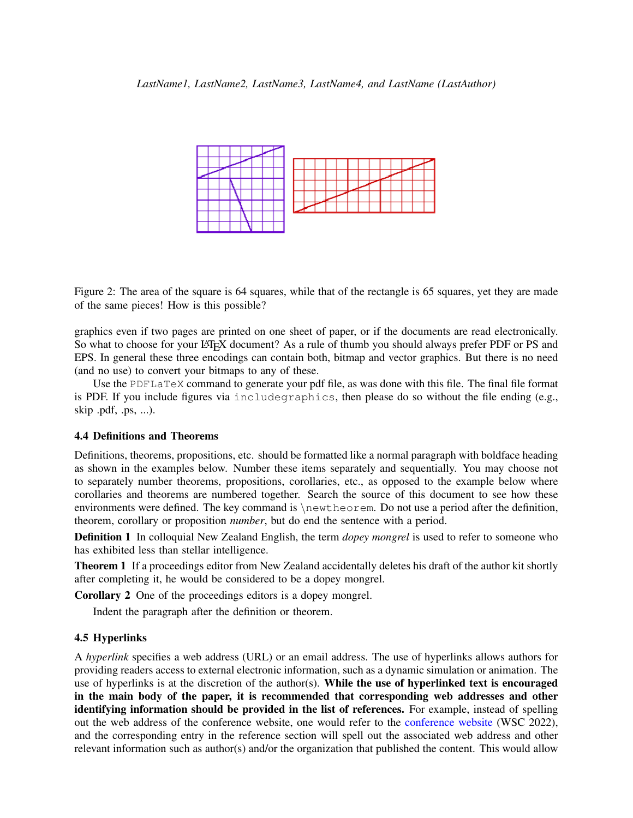

<span id="page-6-0"></span>Figure 2: The area of the square is 64 squares, while that of the rectangle is 65 squares, yet they are made of the same pieces! How is this possible?

graphics even if two pages are printed on one sheet of paper, or if the documents are read electronically. So what to choose for your LATEX document? As a rule of thumb you should always prefer PDF or PS and EPS. In general these three encodings can contain both, bitmap and vector graphics. But there is no need (and no use) to convert your bitmaps to any of these.

Use the PDFLaTeX command to generate your pdf file, as was done with this file. The final file format is PDF. If you include figures via includegraphics, then please do so without the file ending (e.g., skip .pdf, .ps, ...).

#### 4.4 Definitions and Theorems

Definitions, theorems, propositions, etc. should be formatted like a normal paragraph with boldface heading as shown in the examples below. Number these items separately and sequentially. You may choose not to separately number theorems, propositions, corollaries, etc., as opposed to the example below where corollaries and theorems are numbered together. Search the source of this document to see how these environments were defined. The key command is  $\newcommand{\nn}{{\lambda}}$  hewtheorem. Do not use a period after the definition, theorem, corollary or proposition *number*, but do end the sentence with a period.

Definition 1 In colloquial New Zealand English, the term *dopey mongrel* is used to refer to someone who has exhibited less than stellar intelligence.

Theorem 1 If a proceedings editor from New Zealand accidentally deletes his draft of the author kit shortly after completing it, he would be considered to be a dopey mongrel.

Corollary 2 One of the proceedings editors is a dopey mongrel.

Indent the paragraph after the definition or theorem.

### 4.5 Hyperlinks

A *hyperlink* specifies a web address (URL) or an email address. The use of hyperlinks allows authors for providing readers access to external electronic information, such as a dynamic simulation or animation. The use of hyperlinks is at the discretion of the author(s). While the use of hyperlinked text is encouraged in the main body of the paper, it is recommended that corresponding web addresses and other identifying information should be provided in the list of references. For example, instead of spelling out the web address of the conference website, one would refer to the [conference website](http://www.wintersim.org) [\(WSC 2022\)](#page-14-0), and the corresponding entry in the reference section will spell out the associated web address and other relevant information such as author(s) and/or the organization that published the content. This would allow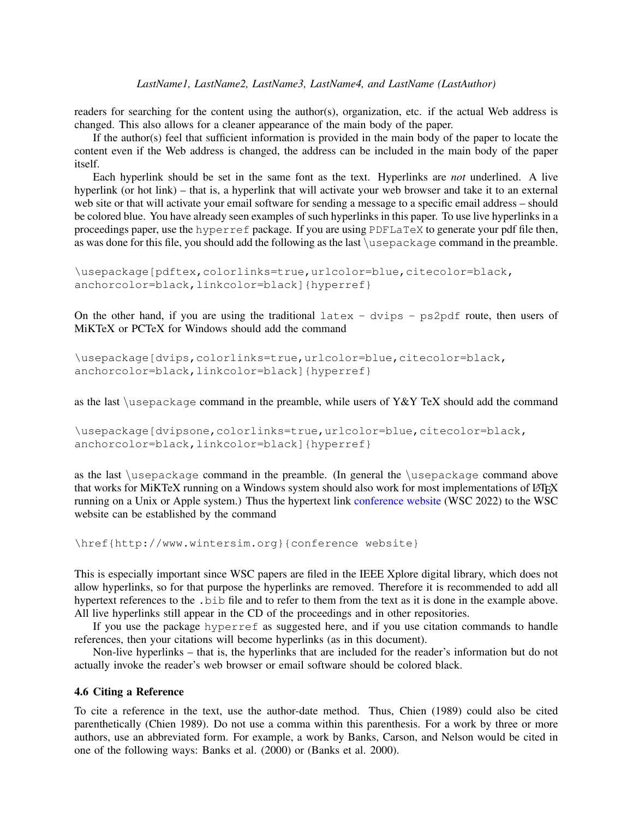#### *LastName1, LastName2, LastName3, LastName4, and LastName (LastAuthor)*

readers for searching for the content using the author(s), organization, etc. if the actual Web address is changed. This also allows for a cleaner appearance of the main body of the paper.

If the author(s) feel that sufficient information is provided in the main body of the paper to locate the content even if the Web address is changed, the address can be included in the main body of the paper itself.

Each hyperlink should be set in the same font as the text. Hyperlinks are *not* underlined. A live hyperlink (or hot link) – that is, a hyperlink that will activate your web browser and take it to an external web site or that will activate your email software for sending a message to a specific email address – should be colored blue. You have already seen examples of such hyperlinks in this paper. To use live hyperlinks in a proceedings paper, use the hyperref package. If you are using PDFLaTeX to generate your pdf file then, as was done for this file, you should add the following as the last \usepackage command in the preamble.

```
\usepackage[pdftex,colorlinks=true,urlcolor=blue,citecolor=black,
anchorcolor=black, linkcolor=black]{hyperref}
```
On the other hand, if you are using the traditional latex - dvips - ps2pdf route, then users of MiKTeX or PCTeX for Windows should add the command

```
\usepackage[dvips,colorlinks=true,urlcolor=blue,citecolor=black,
anchorcolor=black, linkcolor=black]{hyperref}
```
as the last  $\iota$  sepackage command in the preamble, while users of Y&Y TeX should add the command

\usepackage[dvipsone,colorlinks=true,urlcolor=blue,citecolor=black, anchorcolor=black, linkcolor=black]{hyperref}

as the last \usepackage command in the preamble. (In general the \usepackage command above that works for MiKTeX running on a Windows system should also work for most implementations of LATEX running on a Unix or Apple system.) Thus the hypertext link [conference website](http://www.wintersim.org) [\(WSC 2022\)](#page-14-0) to the WSC website can be established by the command

```
\href{http://www.wintersim.org}{conference website}
```
This is especially important since WSC papers are filed in the IEEE Xplore digital library, which does not allow hyperlinks, so for that purpose the hyperlinks are removed. Therefore it is recommended to add all hypertext references to the .bib file and to refer to them from the text as it is done in the example above. All live hyperlinks still appear in the CD of the proceedings and in other repositories.

If you use the package hyperref as suggested here, and if you use citation commands to handle references, then your citations will become hyperlinks (as in this document).

Non-live hyperlinks – that is, the hyperlinks that are included for the reader's information but do not actually invoke the reader's web browser or email software should be colored black.

### 4.6 Citing a Reference

To cite a reference in the text, use the author-date method. Thus, [Chien \(1989\)](#page-14-1) could also be cited parenthetically [\(Chien 1989\)](#page-14-1). Do not use a comma within this parenthesis. For a work by three or more authors, use an abbreviated form. For example, a work by Banks, Carson, and Nelson would be cited in one of the following ways: [Banks et al. \(2000\)](#page-14-2) or [\(Banks et al. 2000\)](#page-14-2).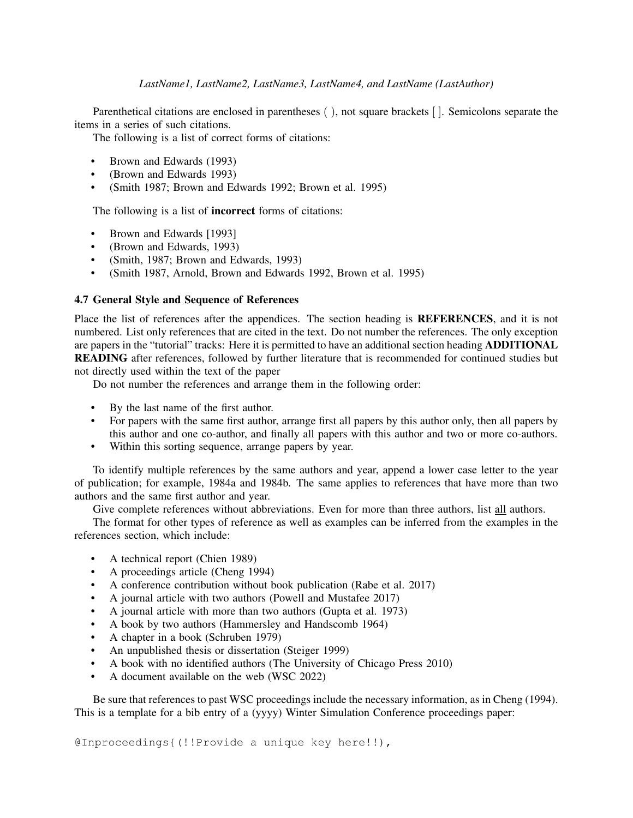### *LastName1, LastName2, LastName3, LastName4, and LastName (LastAuthor)*

Parenthetical citations are enclosed in parentheses ( ), not square brackets [ ]. Semicolons separate the items in a series of such citations.

The following is a list of correct forms of citations:

- Brown and Edwards (1993)
- (Brown and Edwards 1993)
- (Smith 1987; Brown and Edwards 1992; Brown et al. 1995)

The following is a list of incorrect forms of citations:

- Brown and Edwards [1993]
- (Brown and Edwards, 1993)
- (Smith, 1987; Brown and Edwards, 1993)
- (Smith 1987, Arnold, Brown and Edwards 1992, Brown et al. 1995)

### 4.7 General Style and Sequence of References

Place the list of references after the appendices. The section heading is REFERENCES, and it is not numbered. List only references that are cited in the text. Do not number the references. The only exception are papers in the "tutorial" tracks: Here it is permitted to have an additional section heading ADDITIONAL READING after references, followed by further literature that is recommended for continued studies but not directly used within the text of the paper

Do not number the references and arrange them in the following order:

- By the last name of the first author.
- For papers with the same first author, arrange first all papers by this author only, then all papers by this author and one co-author, and finally all papers with this author and two or more co-authors.
- Within this sorting sequence, arrange papers by year.

To identify multiple references by the same authors and year, append a lower case letter to the year of publication; for example, 1984a and 1984b. The same applies to references that have more than two authors and the same first author and year.

Give complete references without abbreviations. Even for more than three authors, list all authors.

The format for other types of reference as well as examples can be inferred from the examples in the references section, which include:

- A technical report [\(Chien 1989\)](#page-14-1)
- A proceedings article [\(Cheng 1994\)](#page-14-3)
- A conference contribution without book publication [\(Rabe et al. 2017\)](#page-14-4)
- A journal article with two authors [\(Powell and Mustafee 2017\)](#page-14-5)
- A journal article with more than two authors [\(Gupta et al. 1973\)](#page-14-6)
- A book by two authors [\(Hammersley and Handscomb 1964\)](#page-14-7)
- A chapter in a book [\(Schruben 1979\)](#page-14-8)
- An unpublished thesis or dissertation [\(Steiger 1999\)](#page-14-9)
- A book with no identified authors [\(The University of Chicago Press 2010\)](#page-14-10)
- A document available on the web [\(WSC 2022\)](#page-14-0)

Be sure that references to past WSC proceedings include the necessary information, as in [Cheng \(1994\).](#page-14-3) This is a template for a bib entry of a (yyyy) Winter Simulation Conference proceedings paper:

@Inproceedings{(!!Provide a unique key here!!),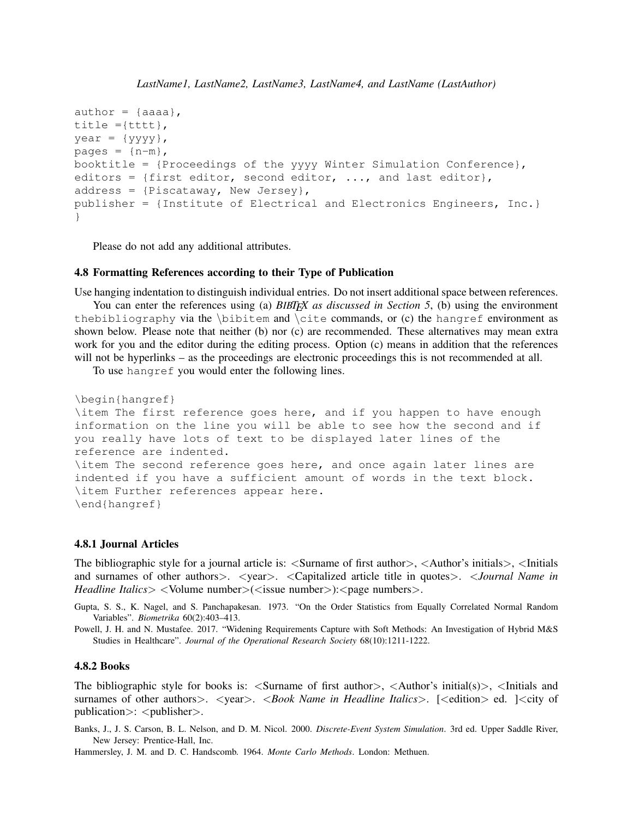```
author = \{aaaa\},
title ={tttt},
year = {yyyy},
pages = \{n-m\},
booktitle = {Proceedings of the yyyy Winter Simulation Conference},
editors = {first editor, second editor, \ldots, and last editor},
address = {Piscataway, New Jersey},
publisher = {Institute of Electrical and Electronics Engineers, Inc.}
}
```
Please do not add any additional attributes.

#### 4.8 Formatting References according to their Type of Publication

Use hanging indentation to distinguish individual entries. Do not insert additional space between references.

You can enter the references using (a) *BIBT<sub>E</sub>X as discussed in Section* [5](#page-11-0), (b) using the environment thebibliography via the \bibitem and \cite commands, or (c) the hangref environment as shown below. Please note that neither (b) nor (c) are recommended. These alternatives may mean extra work for you and the editor during the editing process. Option (c) means in addition that the references will not be hyperlinks – as the proceedings are electronic proceedings this is not recommended at all.

To use hangref you would enter the following lines.

```
\begin{hangref}
\item The first reference goes here, and if you happen to have enough
information on the line you will be able to see how the second and if
you really have lots of text to be displayed later lines of the
reference are indented.
\item The second reference goes here, and once again later lines are
indented if you have a sufficient amount of words in the text block.
\item Further references appear here.
\end{hangref}
```
### 4.8.1 Journal Articles

The bibliographic style for a journal article is:  $\leq$ Surname of first author $>$ ,  $\leq$ Author's initials $>$ ,  $\leq$ Initials and surnames of other authors >  $\leq$   $\leq$   $\leq$   $\leq$   $\leq$   $\leq$   $\leq$   $\leq$   $\leq$   $\leq$   $\leq$   $\leq$   $\leq$   $\leq$   $\leq$   $\leq$   $\leq$   $\leq$   $\leq$   $\leq$   $\leq$   $\leq$   $\leq$   $\leq$   $\leq$   $\leq$   $\leq$   $\leq$   $\leq$   $\leq$   $\leq$   $\leq$ *Headline Italics>* <Volume number>(<issue number>):<page numbers>.

Gupta, S. S., K. Nagel, and S. Panchapakesan. 1973. "On the Order Statistics from Equally Correlated Normal Random Variables". *Biometrika* 60(2):403–413.

Powell, J. H. and N. Mustafee. 2017. "Widening Requirements Capture with Soft Methods: An Investigation of Hybrid M&S Studies in Healthcare". *Journal of the Operational Research Society* 68(10):1211-1222.

#### 4.8.2 Books

The bibliographic style for books is:  $\leq$ Surname of first author $\geq$ ,  $\leq$ Author's initial(s) $\geq$ ,  $\leq$ Initials and surnames of other authors>. <year>. <*Book Name in Headline Italics*>. [<edition> ed. ]<city of  $pubitization$ :  $\langle publication \rangle$ :

Banks, J., J. S. Carson, B. L. Nelson, and D. M. Nicol. 2000. *Discrete-Event System Simulation*. 3rd ed. Upper Saddle River, New Jersey: Prentice-Hall, Inc.

Hammersley, J. M. and D. C. Handscomb. 1964. *Monte Carlo Methods*. London: Methuen.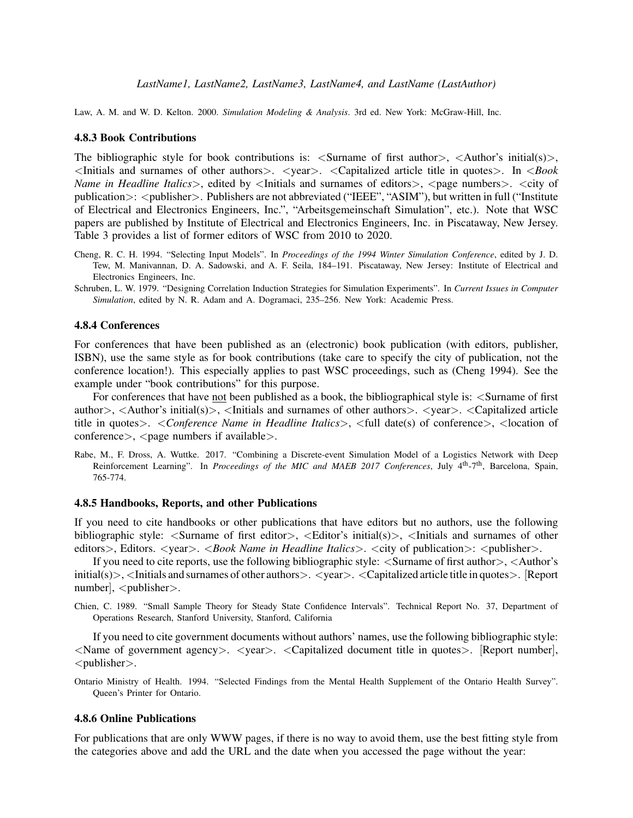Law, A. M. and W. D. Kelton. 2000. *Simulation Modeling & Analysis*. 3rd ed. New York: McGraw-Hill, Inc.

#### 4.8.3 Book Contributions

The bibliographic style for book contributions is:  $\langle$ Surname of first author $\rangle$ ,  $\langle$ Author's initial(s) $\rangle$ , <Initials and surnames of other authors>. <year>. <Capitalized article title in quotes>. In <*Book Name in Headline Italics*>, edited by <Initials and surnames of editors>, <page numbers>. <city of publication>: <publisher>. Publishers are not abbreviated ("IEEE", "ASIM"), but written in full ("Institute of Electrical and Electronics Engineers, Inc.", "Arbeitsgemeinschaft Simulation", etc.). Note that WSC papers are published by Institute of Electrical and Electronics Engineers, Inc. in Piscataway, New Jersey. Table [3](#page-20-0) provides a list of former editors of WSC from 2010 to 2020.

- Cheng, R. C. H. 1994. "Selecting Input Models". In *Proceedings of the 1994 Winter Simulation Conference*, edited by J. D. Tew, M. Manivannan, D. A. Sadowski, and A. F. Seila, 184–191. Piscataway, New Jersey: Institute of Electrical and Electronics Engineers, Inc.
- Schruben, L. W. 1979. "Designing Correlation Induction Strategies for Simulation Experiments". In *Current Issues in Computer Simulation*, edited by N. R. Adam and A. Dogramaci, 235–256. New York: Academic Press.

#### 4.8.4 Conferences

For conferences that have been published as an (electronic) book publication (with editors, publisher, ISBN), use the same style as for book contributions (take care to specify the city of publication, not the conference location!). This especially applies to past WSC proceedings, such as (Cheng 1994). See the example under "book contributions" for this purpose.

For conferences that have not been published as a book, the bibliographical style is: <Surname of first author>, <Author's initial(s)>, <Initials and surnames of other authors>. <year>. <Capitalized article title in quotes>. <*Conference Name in Headline Italics*>, <full date(s) of conference>, <location of  $conference$ ,  $\langle page \text{ numbers if available} \rangle$ .

Rabe, M., F. Dross, A. Wuttke. 2017. "Combining a Discrete-event Simulation Model of a Logistics Network with Deep Reinforcement Learning". In *Proceedings of the MIC and MAEB 2017 Conferences*, July 4th-7th, Barcelona, Spain, 765-774.

## 4.8.5 Handbooks, Reports, and other Publications

If you need to cite handbooks or other publications that have editors but no authors, use the following bibliographic style:  $\leq$ Surname of first editor $>$ ,  $\leq$ Editor's initial(s) $>$ ,  $\leq$ Initials and surnames of other editors>, Editors. <year>. <*Book Name in Headline Italics*>. <city of publication>: <publisher>.

If you need to cite reports, use the following bibliographic style: <Surname of first author>, <Author's initial(s)>,  $\le$ Initials and surnames of other authors>.  $\le$ year>.  $\le$ Capitalized article title in quotes>. [Report  $number$ ],  $\langle$  publisher $\rangle$ .

Chien, C. 1989. "Small Sample Theory for Steady State Confidence Intervals". Technical Report No. 37, Department of Operations Research, Stanford University, Stanford, California

If you need to cite government documents without authors' names, use the following bibliographic style:  $\leq$ Name of government agency  $>$ .  $\leq$   $\leq$   $\leq$   $\leq$   $\leq$   $\leq$   $\leq$   $\leq$   $\leq$   $\leq$   $\leq$   $\leq$   $\leq$   $\leq$   $\leq$   $\leq$   $\leq$   $\leq$   $\leq$   $\leq$   $\leq$   $\leq$   $\leq$   $\leq$   $\leq$   $\leq$   $\leq$   $\leq$   $\leq$   $\leq$   $\leq$ <publisher>.

Ontario Ministry of Health. 1994. "Selected Findings from the Mental Health Supplement of the Ontario Health Survey". Queen's Printer for Ontario.

#### 4.8.6 Online Publications

For publications that are only WWW pages, if there is no way to avoid them, use the best fitting style from the categories above and add the URL and the date when you accessed the page without the year: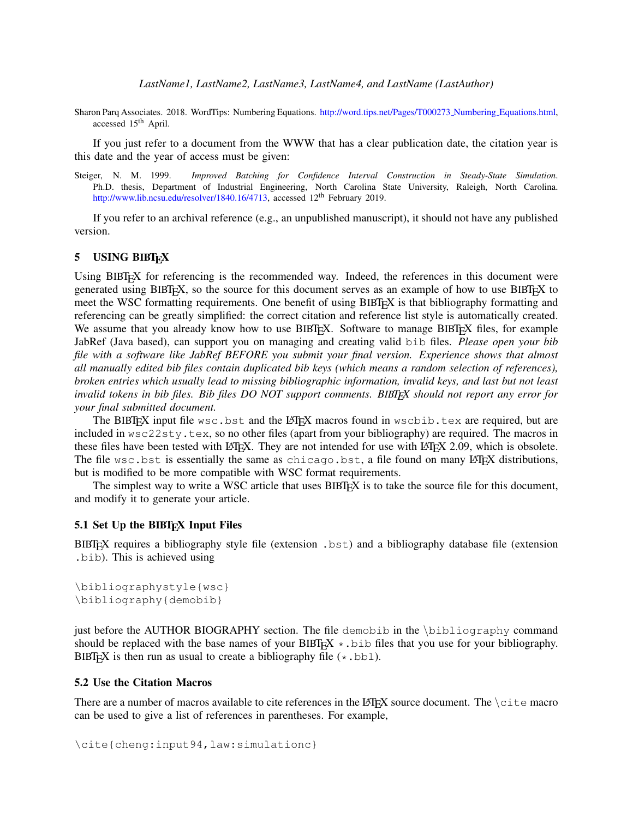Sharon Parq Associates. 2018. WordTips: Numbering Equations. [http://word.tips.net/Pages/T000273](http://word.tips.net/Pages/T000273_Numbering_Equations.html) Numbering Equations.html, accessed 15th April.

If you just refer to a document from the WWW that has a clear publication date, the citation year is this date and the year of access must be given:

Steiger, N. M. 1999. *Improved Batching for Confidence Interval Construction in Steady-State Simulation*. Ph.D. thesis, Department of Industrial Engineering, North Carolina State University, Raleigh, North Carolina. [http://www.lib.ncsu.edu/resolver/1840.16/4713,](http://www.lib.ncsu.edu/resolver/1840.16/4713) accessed 12<sup>th</sup> February 2019.

If you refer to an archival reference (e.g., an unpublished manuscript), it should not have any published version.

### <span id="page-11-0"></span>5 USING BIBTEX

Using BIBTEX for referencing is the recommended way. Indeed, the references in this document were generated using BIBT<sub>E</sub>X, so the source for this document serves as an example of how to use BIBT<sub>E</sub>X to meet the WSC formatting requirements. One benefit of using BIBTEX is that bibliography formatting and referencing can be greatly simplified: the correct citation and reference list style is automatically created. We assume that you already know how to use BIBT<sub>EX</sub>. Software to manage BIBT<sub>EX</sub> files, for example JabRef (Java based), can support you on managing and creating valid bib files. *Please open your bib file with a software like JabRef BEFORE you submit your final version. Experience shows that almost all manually edited bib files contain duplicated bib keys (which means a random selection of references), broken entries which usually lead to missing bibliographic information, invalid keys, and last but not least invalid tokens in bib files. Bib files DO NOT support comments. BIBTEX should not report any error for your final submitted document.*

The BIBTEX input file wsc.bst and the LATEX macros found in wscbib.tex are required, but are included in  $\text{wsc22sty.tex}$ , so no other files (apart from your bibliography) are required. The macros in these files have been tested with LATEX. They are not intended for use with LATEX 2.09, which is obsolete. The file wsc.bst is essentially the same as chicago.bst, a file found on many LATEX distributions, but is modified to be more compatible with WSC format requirements.

The simplest way to write a WSC article that uses  $BIBTx$  is to take the source file for this document, and modify it to generate your article.

### 5.1 Set Up the BIBT<sub>E</sub>X Input Files

BIBTEX requires a bibliography style file (extension .bst) and a bibliography database file (extension .bib). This is achieved using

\bibliographystyle{wsc} \bibliography{demobib}

just before the AUTHOR BIOGRAPHY section. The file demobib in the \bibliography command should be replaced with the base names of your BIBT<sub>EX</sub>  $\star$ . bib files that you use for your bibliography. BIBT<sub>E</sub>X is then run as usual to create a bibliography file  $(*.bb1)$ .

### 5.2 Use the Citation Macros

There are a number of macros available to cite references in the LAT<sub>E</sub>X source document. The  $\text{cite}$  macro can be used to give a list of references in parentheses. For example,

\cite{cheng:input94,law:simulationc}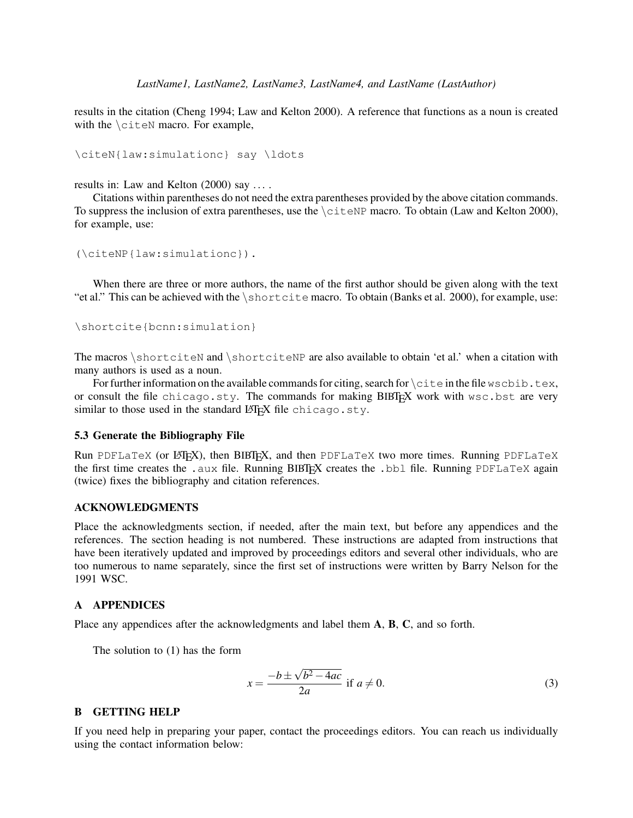results in the citation [\(Cheng 1994;](#page-14-3) [Law and Kelton 2000\)](#page-14-11). A reference that functions as a noun is created with the  $\text{curve}$  macro. For example,

\citeN{law:simulationc} say \ldots

results in: [Law and Kelton \(2000\)](#page-14-11) say . . . .

Citations within parentheses do not need the extra parentheses provided by the above citation commands. To suppress the inclusion of extra parentheses, use the  $\c{either}$  macro. To obtain [\(Law and Kelton 2000\)](#page-14-11), for example, use:

```
(\citeNP{law:simulationc}).
```
When there are three or more authors, the name of the first author should be given along with the text "et al." This can be achieved with the  $\succeq$  shortcite macro. To obtain [\(Banks et al. 2000\)](#page-14-2), for example, use:

```
\shortcite{bcnn:simulation}
```
The macros \shortciteN and \shortciteNP are also available to obtain 'et al.' when a citation with many authors is used as a noun.

For further information on the available commands for citing, search for  $\text{cite in the file}$  wscbib.tex, or consult the file chicago.sty. The commands for making BIBTEX work with wsc.bst are very similar to those used in the standard LATEX file chicago.sty.

#### 5.3 Generate the Bibliography File

Run PDFLaTeX (or LATEX), then BIBTEX, and then PDFLaTeX two more times. Running PDFLaTeX the first time creates the .aux file. Running BIBTEX creates the .bbl file. Running PDFLaTeX again (twice) fixes the bibliography and citation references.

#### ACKNOWLEDGMENTS

Place the acknowledgments section, if needed, after the main text, but before any appendices and the references. The section heading is not numbered. These instructions are adapted from instructions that have been iteratively updated and improved by proceedings editors and several other individuals, who are too numerous to name separately, since the first set of instructions were written by Barry Nelson for the 1991 WSC.

#### <span id="page-12-1"></span>A APPENDICES

Place any appendices after the acknowledgments and label them A, B, C, and so forth.

The solution to (1) has the form

<span id="page-12-0"></span>
$$
x = \frac{-b \pm \sqrt{b^2 - 4ac}}{2a} \text{ if } a \neq 0.
$$
 (3)

### B GETTING HELP

If you need help in preparing your paper, contact the proceedings editors. You can reach us individually using the contact information below: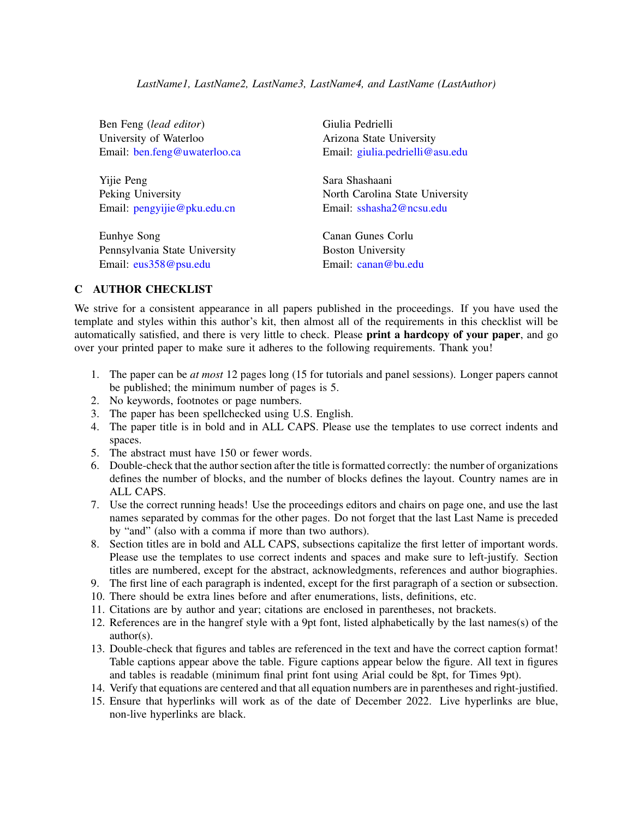Ben Feng (*lead editor*) Giulia Pedrielli University of Waterloo Arizona State University

Yijie Peng Sara Shashaani Email: [pengyijie@pku.edu.cn](mailto://pengyijie@pku.edu.cn) Email: [sshasha2@ncsu.edu](mailto://sshasha2@ncsu.edu)

Eunhye Song Canan Gunes Corlu Pennsylvania State University Boston University Email: [eus358@psu.edu](mailto://eus358@psu.edu) Email: [canan@bu.edu](mailto://canan@bu.edu)

Email: [ben.feng@uwaterloo.ca](mailto://ben.feng@uwaterloo.ca) Email: [giulia.pedrielli@asu.edu](mailto://giulia.pedrielli@asu.edu)

Peking University North Carolina State University

# C AUTHOR CHECKLIST

We strive for a consistent appearance in all papers published in the proceedings. If you have used the template and styles within this author's kit, then almost all of the requirements in this checklist will be automatically satisfied, and there is very little to check. Please print a hardcopy of your paper, and go over your printed paper to make sure it adheres to the following requirements. Thank you!

- 1. The paper can be *at most* 12 pages long (15 for tutorials and panel sessions). Longer papers cannot be published; the minimum number of pages is 5.
- 2. No keywords, footnotes or page numbers.
- 3. The paper has been spellchecked using U.S. English.
- 4. The paper title is in bold and in ALL CAPS. Please use the templates to use correct indents and spaces.
- 5. The abstract must have 150 or fewer words.
- 6. Double-check that the author section after the title is formatted correctly: the number of organizations defines the number of blocks, and the number of blocks defines the layout. Country names are in ALL CAPS.
- 7. Use the correct running heads! Use the proceedings editors and chairs on page one, and use the last names separated by commas for the other pages. Do not forget that the last Last Name is preceded by "and" (also with a comma if more than two authors).
- 8. Section titles are in bold and ALL CAPS, subsections capitalize the first letter of important words. Please use the templates to use correct indents and spaces and make sure to left-justify. Section titles are numbered, except for the abstract, acknowledgments, references and author biographies.
- 9. The first line of each paragraph is indented, except for the first paragraph of a section or subsection.
- 10. There should be extra lines before and after enumerations, lists, definitions, etc.
- 11. Citations are by author and year; citations are enclosed in parentheses, not brackets.
- 12. References are in the hangref style with a 9pt font, listed alphabetically by the last names(s) of the author(s).
- 13. Double-check that figures and tables are referenced in the text and have the correct caption format! Table captions appear above the table. Figure captions appear below the figure. All text in figures and tables is readable (minimum final print font using Arial could be 8pt, for Times 9pt).
- 14. Verify that equations are centered and that all equation numbers are in parentheses and right-justified.
- 15. Ensure that hyperlinks will work as of the date of December 2022. Live hyperlinks are blue, non-live hyperlinks are black.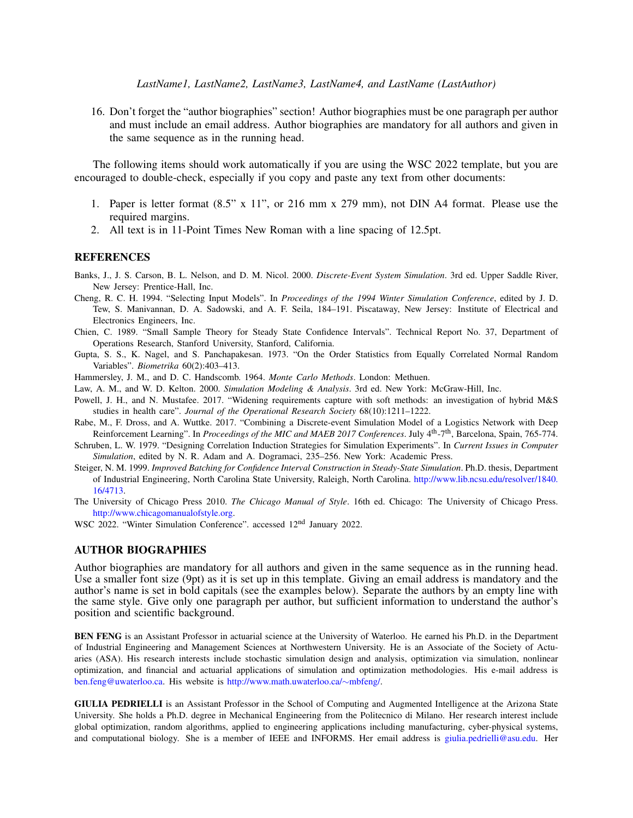#### *LastName1, LastName2, LastName3, LastName4, and LastName (LastAuthor)*

16. Don't forget the "author biographies" section! Author biographies must be one paragraph per author and must include an email address. Author biographies are mandatory for all authors and given in the same sequence as in the running head.

The following items should work automatically if you are using the WSC 2022 template, but you are encouraged to double-check, especially if you copy and paste any text from other documents:

- 1. Paper is letter format (8.5" x 11", or 216 mm x 279 mm), not DIN A4 format. Please use the required margins.
- 2. All text is in 11-Point Times New Roman with a line spacing of 12.5pt.

#### **REFERENCES**

- <span id="page-14-2"></span>Banks, J., J. S. Carson, B. L. Nelson, and D. M. Nicol. 2000. *Discrete-Event System Simulation*. 3rd ed. Upper Saddle River, New Jersey: Prentice-Hall, Inc.
- <span id="page-14-3"></span>Cheng, R. C. H. 1994. "Selecting Input Models". In *Proceedings of the 1994 Winter Simulation Conference*, edited by J. D. Tew, S. Manivannan, D. A. Sadowski, and A. F. Seila, 184–191. Piscataway, New Jersey: Institute of Electrical and Electronics Engineers, Inc.
- <span id="page-14-1"></span>Chien, C. 1989. "Small Sample Theory for Steady State Confidence Intervals". Technical Report No. 37, Department of Operations Research, Stanford University, Stanford, California.
- <span id="page-14-6"></span>Gupta, S. S., K. Nagel, and S. Panchapakesan. 1973. "On the Order Statistics from Equally Correlated Normal Random Variables". *Biometrika* 60(2):403–413.
- <span id="page-14-7"></span>Hammersley, J. M., and D. C. Handscomb. 1964. *Monte Carlo Methods*. London: Methuen.
- <span id="page-14-11"></span>Law, A. M., and W. D. Kelton. 2000. *Simulation Modeling & Analysis*. 3rd ed. New York: McGraw-Hill, Inc.
- <span id="page-14-5"></span>Powell, J. H., and N. Mustafee. 2017. "Widening requirements capture with soft methods: an investigation of hybrid M&S studies in health care". *Journal of the Operational Research Society* 68(10):1211–1222.
- <span id="page-14-4"></span>Rabe, M., F. Dross, and A. Wuttke. 2017. "Combining a Discrete-event Simulation Model of a Logistics Network with Deep Reinforcement Learning". In *Proceedings of the MIC and MAEB 2017 Conferences*. July 4th-7th, Barcelona, Spain, 765-774.
- <span id="page-14-8"></span>Schruben, L. W. 1979. "Designing Correlation Induction Strategies for Simulation Experiments". In *Current Issues in Computer Simulation*, edited by N. R. Adam and A. Dogramaci, 235–256. New York: Academic Press.
- <span id="page-14-9"></span>Steiger, N. M. 1999. *Improved Batching for Confidence Interval Construction in Steady-State Simulation*. Ph.D. thesis, Department of Industrial Engineering, North Carolina State University, Raleigh, North Carolina. [http://www.lib.ncsu.edu/resolver/1840.](http://www.lib.ncsu.edu/resolver/1840.16/4713) [16/4713.](http://www.lib.ncsu.edu/resolver/1840.16/4713)
- <span id="page-14-10"></span>The University of Chicago Press 2010. *The Chicago Manual of Style*. 16th ed. Chicago: The University of Chicago Press. [http://www.chicagomanualofstyle.org.](http://www.chicagomanualofstyle.org)
- <span id="page-14-0"></span>WSC 2022. "Winter Simulation Conference". accessed 12nd January 2022.

#### AUTHOR BIOGRAPHIES

Author biographies are mandatory for all authors and given in the same sequence as in the running head. Use a smaller font size (9pt) as it is set up in this template. Giving an email address is mandatory and the author's name is set in bold capitals (see the examples below). Separate the authors by an empty line with the same style. Give only one paragraph per author, but sufficient information to understand the author's position and scientific background.

BEN FENG is an Assistant Professor in actuarial science at the University of Waterloo. He earned his Ph.D. in the Department of Industrial Engineering and Management Sciences at Northwestern University. He is an Associate of the Society of Actuaries (ASA). His research interests include stochastic simulation design and analysis, optimization via simulation, nonlinear optimization, and financial and actuarial applications of simulation and optimization methodologies. His e-mail address is [ben.feng@uwaterloo.ca.](mailto://ben.feng@uwaterloo.ca) His website is [http://www.math.uwaterloo.ca/](http://www.math.uwaterloo.ca/~mbfeng/)∼mbfeng/.

GIULIA PEDRIELLI is an Assistant Professor in the School of Computing and Augmented Intelligence at the Arizona State University. She holds a Ph.D. degree in Mechanical Engineering from the Politecnico di Milano. Her research interest include global optimization, random algorithms, applied to engineering applications including manufacturing, cyber-physical systems, and computational biology. She is a member of IEEE and INFORMS. Her email address is [giulia.pedrielli@asu.edu.](mailto://giulia.pedrielli@asu.edu) Her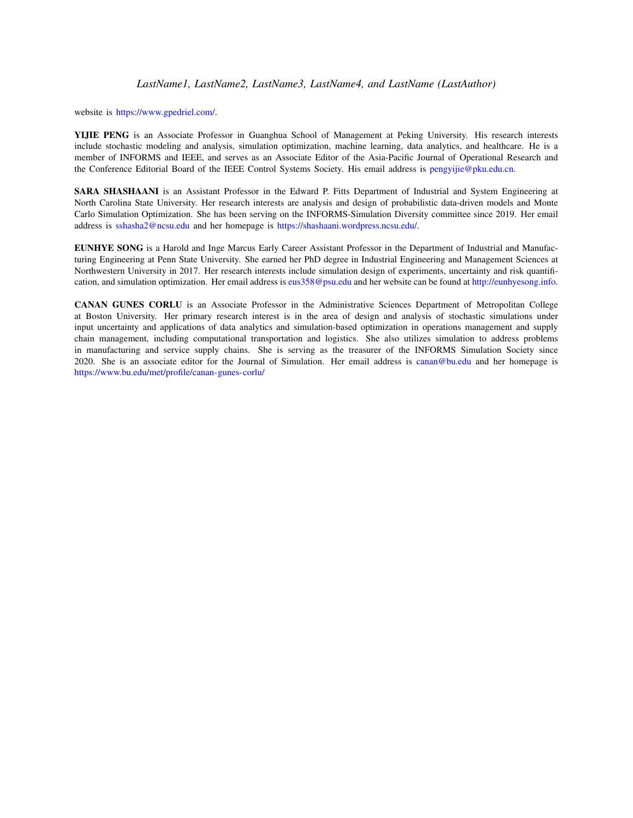website is [https://www.gpedriel.com/.](https://www.gpedriel.com/)

YIJIE PENG is an Associate Professor in Guanghua School of Management at Peking University. His research interests include stochastic modeling and analysis, simulation optimization, machine learning, data analytics, and healthcare. He is a member of INFORMS and IEEE, and serves as an Associate Editor of the Asia-Pacific Journal of Operational Research and the Conference Editorial Board of the IEEE Control Systems Society. His email address is [pengyijie@pku.edu.cn.](mailto://pengyijie@pku.edu.cn)

SARA SHASHAANI is an Assistant Professor in the Edward P. Fitts Department of Industrial and System Engineering at North Carolina State University. Her research interests are analysis and design of probabilistic data-driven models and Monte Carlo Simulation Optimization. She has been serving on the INFORMS-Simulation Diversity committee since 2019. Her email address is [sshasha2@ncsu.edu](mailto://sshasha2@ncsu.edu) and her homepage is [https://shashaani.wordpress.ncsu.edu/.](https://shashaani.wordpress.ncsu.edu/)

EUNHYE SONG is a Harold and Inge Marcus Early Career Assistant Professor in the Department of Industrial and Manufacturing Engineering at Penn State University. She earned her PhD degree in Industrial Engineering and Management Sciences at Northwestern University in 2017. Her research interests include simulation design of experiments, uncertainty and risk quantification, and simulation optimization. Her email address is [eus358@psu.edu](mailto://eus358@psu.edu) and her website can be found at [http://eunhyesong.info.](http://eunhyesong.info)

CANAN GUNES CORLU is an Associate Professor in the Administrative Sciences Department of Metropolitan College at Boston University. Her primary research interest is in the area of design and analysis of stochastic simulations under input uncertainty and applications of data analytics and simulation-based optimization in operations management and supply chain management, including computational transportation and logistics. She also utilizes simulation to address problems in manufacturing and service supply chains. She is serving as the treasurer of the INFORMS Simulation Society since 2020. She is an associate editor for the Journal of Simulation. Her email address is [canan@bu.edu](mailto://canan@bu.edu) and her homepage is <https://www.bu.edu/met/profile/canan-gunes-corlu/>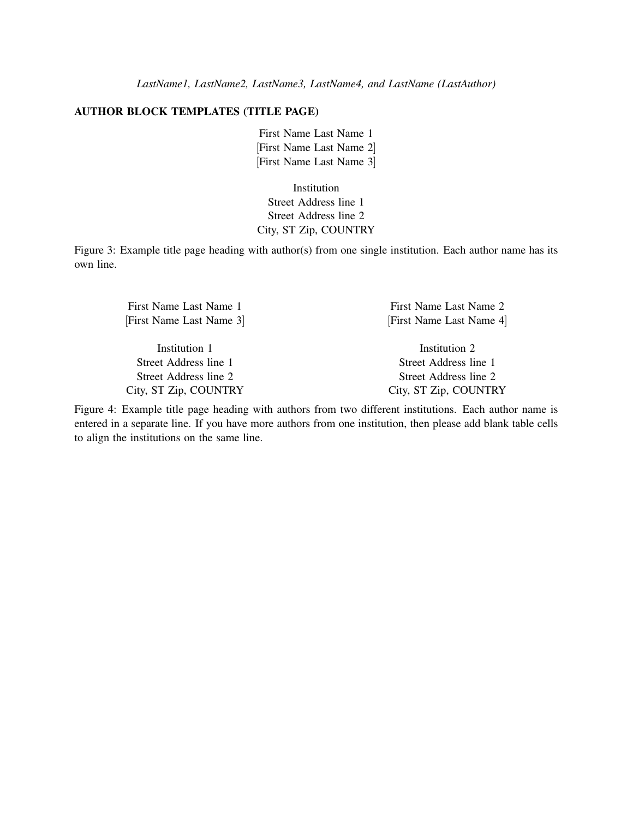### AUTHOR BLOCK TEMPLATES (TITLE PAGE)

First Name Last Name 1 [First Name Last Name 2] [First Name Last Name 3]

Institution Street Address line 1 Street Address line 2 City, ST Zip, COUNTRY

<span id="page-16-0"></span>Figure 3: Example title page heading with author(s) from one single institution. Each author name has its own line.

[First Name Last Name 3] [First Name Last Name 4]

Institution 1 Institution 2 Street Address line 1 Street Address line 1 City, ST Zip, COUNTRY City, ST Zip, COUNTRY

First Name Last Name 1 First Name Last Name 2

Street Address line 2 Street Address line 2

<span id="page-16-1"></span>Figure 4: Example title page heading with authors from two different institutions. Each author name is entered in a separate line. If you have more authors from one institution, then please add blank table cells to align the institutions on the same line.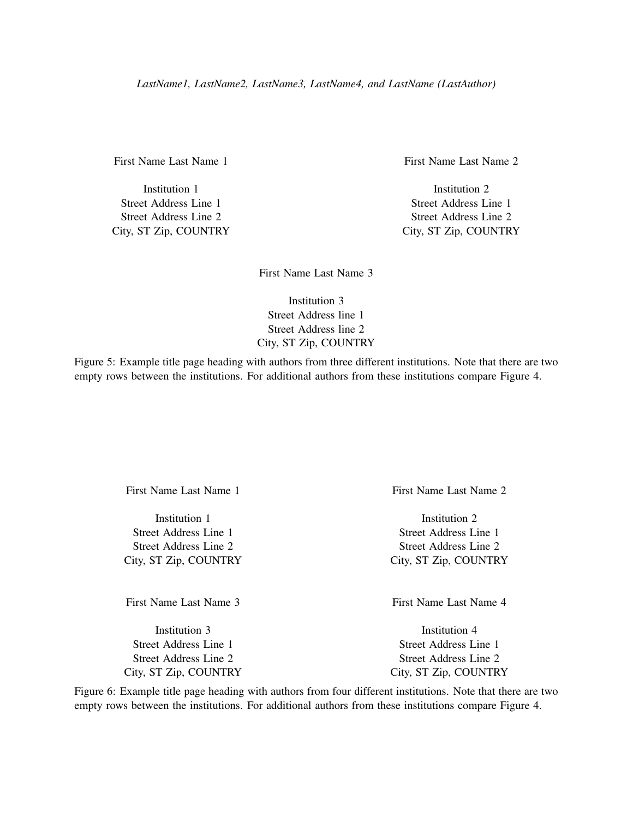Street Address Line 1 Street Address Line 1 Street Address Line 2 Street Address Line 2

First Name Last Name 1 First Name Last Name 2

Institution 1 and 1 Institution 2 City, ST Zip, COUNTRY City, ST Zip, COUNTRY

First Name Last Name 3

Institution 3 Street Address line 1 Street Address line 2 City, ST Zip, COUNTRY

Figure 5: Example title page heading with authors from three different institutions. Note that there are two empty rows between the institutions. For additional authors from these institutions compare Figure [4.](#page-16-1)

First Name Last Name 3 First Name Last Name 4

Street Address Line 1 Street Address Line 1 Street Address Line 2 Street Address Line 2 City, ST Zip, COUNTRY City, ST Zip, COUNTRY

First Name Last Name 1 First Name Last Name 2

Institution 1 Institution 2 Street Address Line 1 Street Address Line 1 Street Address Line 2 Street Address Line 2 City, ST Zip, COUNTRY City, ST Zip, COUNTRY

Institution 3 Institution 4

Figure 6: Example title page heading with authors from four different institutions. Note that there are two empty rows between the institutions. For additional authors from these institutions compare Figure [4.](#page-16-1)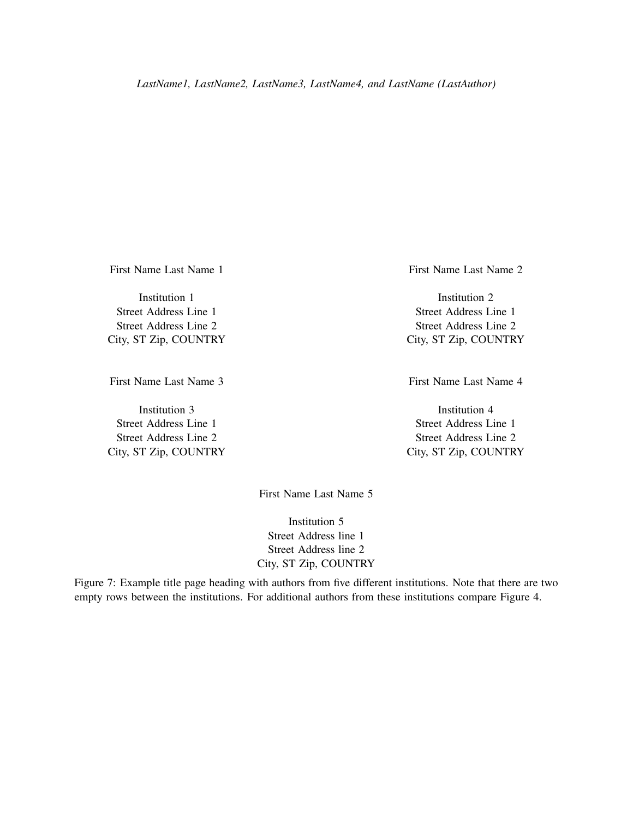First Name Last Name 3 First Name Last Name 4

Street Address Line 1 Street Address Line 1 Street Address Line 2 Street Address Line 2 City, ST Zip, COUNTRY City, ST Zip, COUNTRY

First Name Last Name 1 First Name Last Name 2

Institution 1 Institution 2 Street Address Line 1 Street Address Line 1 Street Address Line 2 Street Address Line 2 City, ST Zip, COUNTRY City, ST Zip, COUNTRY

Institution 3 Institution 4

First Name Last Name 5

Institution 5 Street Address line 1 Street Address line 2 City, ST Zip, COUNTRY

Figure 7: Example title page heading with authors from five different institutions. Note that there are two empty rows between the institutions. For additional authors from these institutions compare Figure [4.](#page-16-1)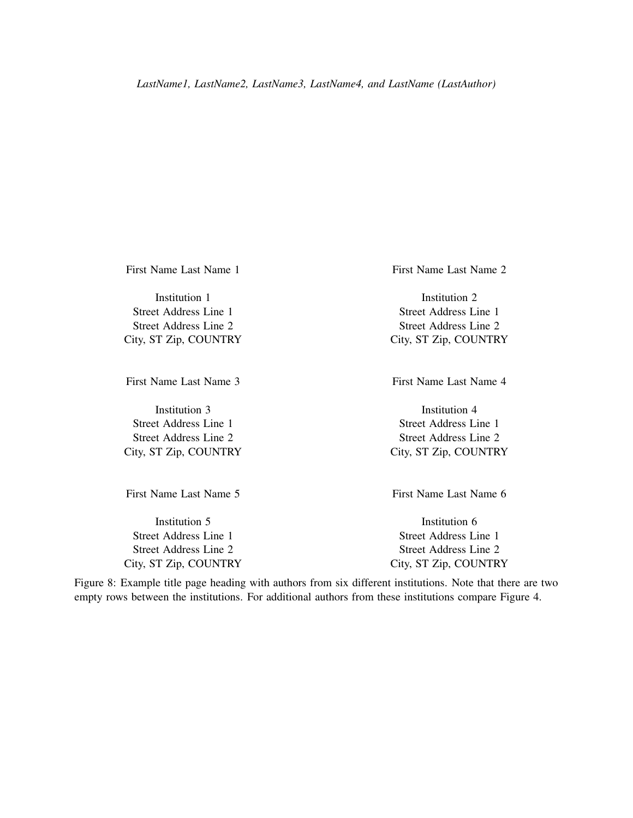First Name Last Name 3 First Name Last Name 4

City, ST Zip, COUNTRY City, ST Zip, COUNTRY

First Name Last Name 1 First Name Last Name 2

Institution 1 and 1 Institution 2 Street Address Line 1 Street Address Line 1 Street Address Line 2 Street Address Line 2 City, ST Zip, COUNTRY City, ST Zip, COUNTRY

Institution 3 Institution 4 Street Address Line 1 Street Address Line 1 Street Address Line 2 Street Address Line 2

First Name Last Name 5 First Name Last Name 6

Institution 5 Institution 6 Street Address Line 1 Street Address Line 1 Street Address Line 2 Street Address Line 2 City, ST Zip, COUNTRY City, ST Zip, COUNTRY

<span id="page-19-0"></span>Figure 8: Example title page heading with authors from six different institutions. Note that there are two empty rows between the institutions. For additional authors from these institutions compare Figure [4.](#page-16-1)